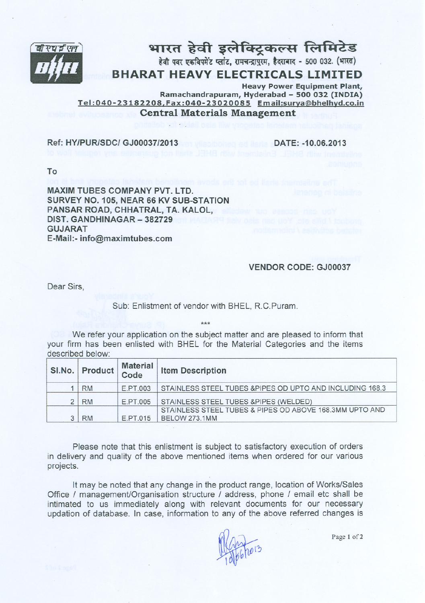

## भारत हेवी इलेक्ट्रिकल्स लिमिटेड हेवी पवर एकविपमेंट प्लांट, रामचन्द्रापुरम, हैदराबाद - 500 032. (भारत)

# **IFFRICALS LIMITED**<br>Heavy Power Fquipment Plant

Heavy Power Equipment Plant, Ramachandrapuram, Hyderabad - <sup>500</sup> <sup>032</sup> (INDIA) Tel :040-23182208,Fax:040- 23020085 Email:surva@bhelhvd.co.in Central Materials Management

#### Ref: HY/PUR/SDC/ GJOO037/2013 DATE: -10.06.2013

To

MAXIM TUBES COMPANY PVT. lTD. SURVEY NO. 105, NEAR 66 KV SUB-STATION PANSAR ROAD, CHHATRAl, TA. KAlOl, DIST. GANDHINAGAR - 382729 GUJARAT E-Mail:-info@maximtubes.com

#### VENDOR CODE: GJOO037

Dear Sirs,

Sub: Enlistment of vendor with BHEL, R.C.Puram.

\*\*\*

We refer your application on the subject matter and are pleased to inform that your firm has been enlisted with BHEL for the Material Categories and the items described below:

| SI.No. Product Code | <b>Material</b> | <b>Item Description</b>                                   |
|---------------------|-----------------|-----------------------------------------------------------|
| <b>RM</b>           | E PT 003        | STAINLESS STEEL TUBES & PIPES OD UPTO AND INCLUDING 168.3 |
| <b>RM</b>           | E.PT.005        | STAINLESS STEEL TUBES & PIPES (WELDED)                    |
|                     |                 | STAINLESS STEEL TUBES & PIPES OD ABOVE 168.3MM UPTO AND   |
| <b>RM</b>           | E.PT.015        | BELOW 273.1MM                                             |

Please note that this enlistment is subject to satisfactory execution of orders in delivery and quality of the above mentioned items when ordered for our various projects.

It may be noted that any change in the product range, location of Works/Sales Office / management/Organisation structure / address, phone / email etc shall be intimated to us immediately along with relevant documents for our necessary updation of database. In case, information to any of the above referred changes is

**WEB1013**  $-100$